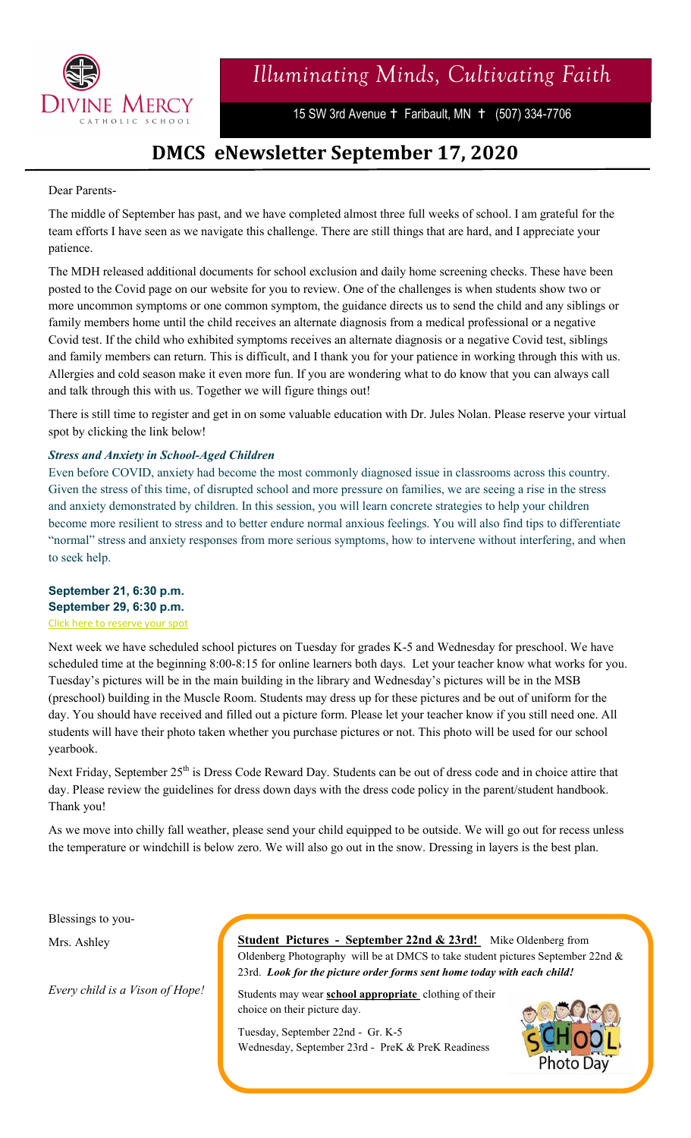

# *Illuminating Minds, Cultivating Faith*

15 SW 3rd Avenue + Faribault, MN + (507) 334-7706

## **DMCS eNewsletter September 17, 2020**

#### Dear Parents-

The middle of September has past, and we have completed almost three full weeks of school. I am grateful for the team efforts I have seen as we navigate this challenge. There are still things that are hard, and I appreciate your patience.

The MDH released additional documents for school exclusion and daily home screening checks. These have been posted to the Covid page on our website for you to review. One of the challenges is when students show two or more uncommon symptoms or one common symptom, the guidance directs us to send the child and any siblings or family members home until the child receives an alternate diagnosis from a medical professional or a negative Covid test. If the child who exhibited symptoms receives an alternate diagnosis or a negative Covid test, siblings and family members can return. This is difficult, and I thank you for your patience in working through this with us. Allergies and cold season make it even more fun. If you are wondering what to do know that you can always call and talk through this with us. Together we will figure things out!

There is still time to register and get in on some valuable education with Dr. Jules Nolan. Please reserve your virtual spot by clicking the link below!

#### *Stress and Anxiety in School-Aged Children*

Even before COVID, anxiety had become the most commonly diagnosed issue in classrooms across this country. Given the stress of this time, of disrupted school and more pressure on families, we are seeing a rise in the stress and anxiety demonstrated by children. In this session, you will learn concrete strategies to help your children become more resilient to stress and to better endure normal anxious feelings. You will also find tips to differentiate "normal" stress and anxiety responses from more serious symptoms, how to intervene without interfering, and when to seek help.

### **September 21, 6:30 p.m. September 29, 6:30 p.m.** [Click here to reserve your spot](https://cscoe-mn.us11.list-manage.com/track/click?u=43c00ecfbde702825d6d02f0e&id=7c4fbe6b4c&e=83a6ba56a2)

Next week we have scheduled school pictures on Tuesday for grades K-5 and Wednesday for preschool. We have scheduled time at the beginning 8:00-8:15 for online learners both days. Let your teacher know what works for you. Tuesday's pictures will be in the main building in the library and Wednesday's pictures will be in the MSB (preschool) building in the Muscle Room. Students may dress up for these pictures and be out of uniform for the day. You should have received and filled out a picture form. Please let your teacher know if you still need one. All students will have their photo taken whether you purchase pictures or not. This photo will be used for our school yearbook.

Next Friday, September 25<sup>th</sup> is Dress Code Reward Day. Students can be out of dress code and in choice attire that day. Please review the guidelines for dress down days with the dress code policy in the parent/student handbook. Thank you!

As we move into chilly fall weather, please send your child equipped to be outside. We will go out for recess unless the temperature or windchill is below zero. We will also go out in the snow. Dressing in layers is the best plan.

Blessings to you-

Mrs. Ashley

*Every child is a Vison of Hope!*

**Student Pictures - September 22nd & 23rd!** Mike Oldenberg from Oldenberg Photography will be at DMCS to take student pictures September 22nd  $&$ 23rd. *Look for the picture order forms sent home today with each child!* 

Students may wear **school appropriate** clothing of their choice on their picture day.

Tuesday, September 22nd - Gr. K-5 Wednesday, September 23rd - PreK & PreK Readiness